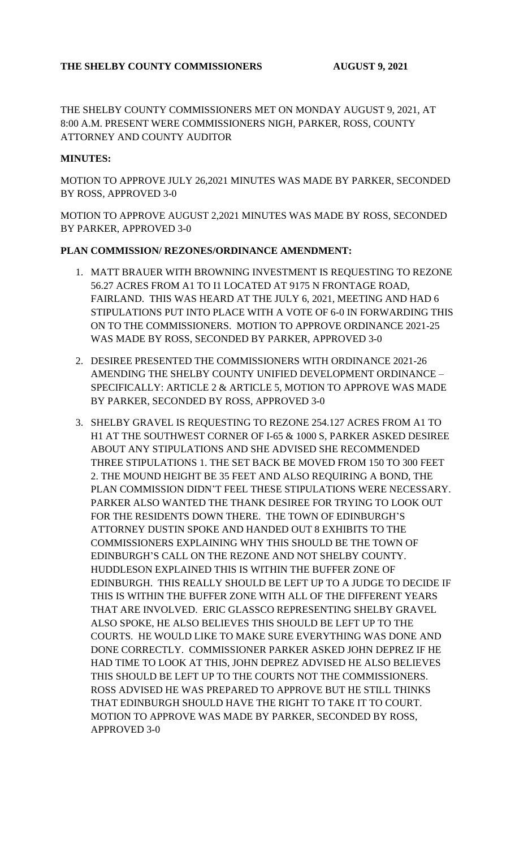THE SHELBY COUNTY COMMISSIONERS MET ON MONDAY AUGUST 9, 2021, AT 8:00 A.M. PRESENT WERE COMMISSIONERS NIGH, PARKER, ROSS, COUNTY ATTORNEY AND COUNTY AUDITOR

#### **MINUTES:**

MOTION TO APPROVE JULY 26,2021 MINUTES WAS MADE BY PARKER, SECONDED BY ROSS, APPROVED 3-0

MOTION TO APPROVE AUGUST 2,2021 MINUTES WAS MADE BY ROSS, SECONDED BY PARKER, APPROVED 3-0

#### **PLAN COMMISSION/ REZONES/ORDINANCE AMENDMENT:**

- 1. MATT BRAUER WITH BROWNING INVESTMENT IS REQUESTING TO REZONE 56.27 ACRES FROM A1 TO I1 LOCATED AT 9175 N FRONTAGE ROAD, FAIRLAND. THIS WAS HEARD AT THE JULY 6, 2021, MEETING AND HAD 6 STIPULATIONS PUT INTO PLACE WITH A VOTE OF 6-0 IN FORWARDING THIS ON TO THE COMMISSIONERS. MOTION TO APPROVE ORDINANCE 2021-25 WAS MADE BY ROSS, SECONDED BY PARKER, APPROVED 3-0
- 2. DESIREE PRESENTED THE COMMISSIONERS WITH ORDINANCE 2021-26 AMENDING THE SHELBY COUNTY UNIFIED DEVELOPMENT ORDINANCE – SPECIFICALLY: ARTICLE 2 & ARTICLE 5, MOTION TO APPROVE WAS MADE BY PARKER, SECONDED BY ROSS, APPROVED 3-0
- 3. SHELBY GRAVEL IS REQUESTING TO REZONE 254.127 ACRES FROM A1 TO H1 AT THE SOUTHWEST CORNER OF I-65 & 1000 S, PARKER ASKED DESIREE ABOUT ANY STIPULATIONS AND SHE ADVISED SHE RECOMMENDED THREE STIPULATIONS 1. THE SET BACK BE MOVED FROM 150 TO 300 FEET 2. THE MOUND HEIGHT BE 35 FEET AND ALSO REQUIRING A BOND, THE PLAN COMMISSION DIDN'T FEEL THESE STIPULATIONS WERE NECESSARY. PARKER ALSO WANTED THE THANK DESIREE FOR TRYING TO LOOK OUT FOR THE RESIDENTS DOWN THERE. THE TOWN OF EDINBURGH'S ATTORNEY DUSTIN SPOKE AND HANDED OUT 8 EXHIBITS TO THE COMMISSIONERS EXPLAINING WHY THIS SHOULD BE THE TOWN OF EDINBURGH'S CALL ON THE REZONE AND NOT SHELBY COUNTY. HUDDLESON EXPLAINED THIS IS WITHIN THE BUFFER ZONE OF EDINBURGH. THIS REALLY SHOULD BE LEFT UP TO A JUDGE TO DECIDE IF THIS IS WITHIN THE BUFFER ZONE WITH ALL OF THE DIFFERENT YEARS THAT ARE INVOLVED. ERIC GLASSCO REPRESENTING SHELBY GRAVEL ALSO SPOKE, HE ALSO BELIEVES THIS SHOULD BE LEFT UP TO THE COURTS. HE WOULD LIKE TO MAKE SURE EVERYTHING WAS DONE AND DONE CORRECTLY. COMMISSIONER PARKER ASKED JOHN DEPREZ IF HE HAD TIME TO LOOK AT THIS, JOHN DEPREZ ADVISED HE ALSO BELIEVES THIS SHOULD BE LEFT UP TO THE COURTS NOT THE COMMISSIONERS. ROSS ADVISED HE WAS PREPARED TO APPROVE BUT HE STILL THINKS THAT EDINBURGH SHOULD HAVE THE RIGHT TO TAKE IT TO COURT. MOTION TO APPROVE WAS MADE BY PARKER, SECONDED BY ROSS, APPROVED 3-0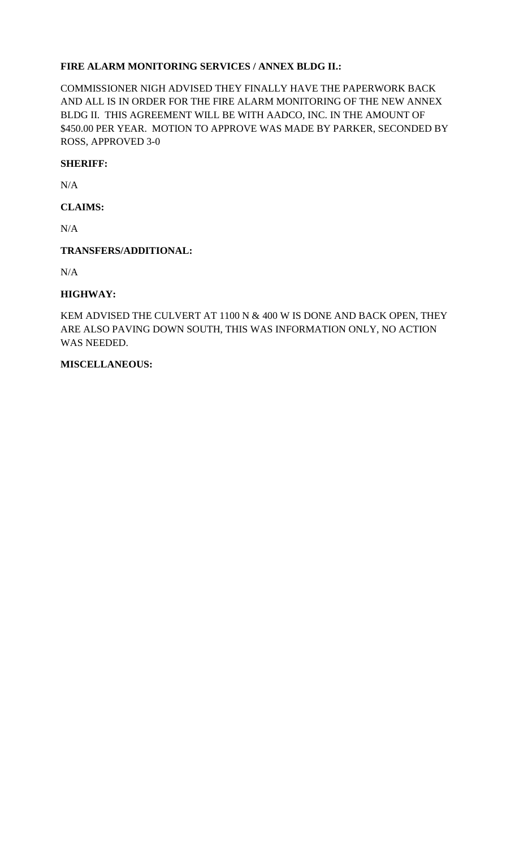# **FIRE ALARM MONITORING SERVICES / ANNEX BLDG II.:**

COMMISSIONER NIGH ADVISED THEY FINALLY HAVE THE PAPERWORK BACK AND ALL IS IN ORDER FOR THE FIRE ALARM MONITORING OF THE NEW ANNEX BLDG II. THIS AGREEMENT WILL BE WITH AADCO, INC. IN THE AMOUNT OF \$450.00 PER YEAR. MOTION TO APPROVE WAS MADE BY PARKER, SECONDED BY ROSS, APPROVED 3-0

### **SHERIFF:**

N/A

# **CLAIMS:**

N/A

## **TRANSFERS/ADDITIONAL:**

N/A

## **HIGHWAY:**

KEM ADVISED THE CULVERT AT 1100 N & 400 W IS DONE AND BACK OPEN, THEY ARE ALSO PAVING DOWN SOUTH, THIS WAS INFORMATION ONLY, NO ACTION WAS NEEDED.

### **MISCELLANEOUS:**